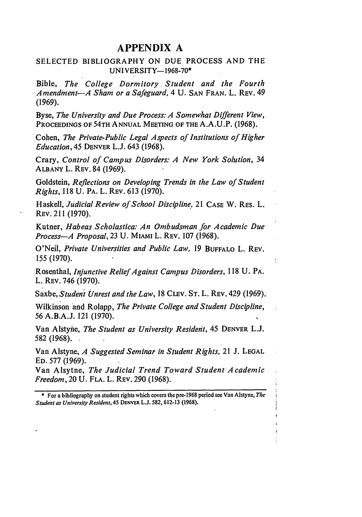## **APPENDIX A**

## SELECTED BIBLIOGRAPHY ON **DUE** PROCESS **AND** THE UNIVERSITY-1968-70\*

Bible, *The College Dormitory Student and the Fourth Amendment-A Sham or a Safeguard,* 4 U. SAN FRAN. L. REV. 49 (1969).

Byse, *The University and Due Process: A Somewhat Different View,* PROCEEDINGS OF 54TH ANNUAL MEETING OF THE A.A.U.P. (1968).

Cohen, *The Private-Public Legal Aspects of Institutions of Higher Education, 45* DENVER **L.J.** 643 **(1968).**

Crary, *Control of Campus Disorders: A New York Solution,* 34 **ALBANY** L. REV. 84 (1969).

Goldstein, *Reflections on Developing Trends in the Law of Student Rights,* **118** U. PA. L. REV. 613 (1970).

Haskell, *Judicial Review of School Discipline,* 21 CASE W. RES. L. REV. 211 (1970).

Kutner, *Habeas Scholastica: An Ombudsman for Academic Due Process-A Proposal,* 23 U. MIAMI L. REV. 107 (1968).

O'Neil, *Private Universities and Public Law,* 19 BUFFALO L. REV. 155 (1970).

Rosenthal, *Injunctive Relief Against Campus Disorders,* 118 U. PA. L. REV. 746 (1970).

Saxbe, *Student Unrest and the Law,* <sup>18</sup>**CLEV.** ST. L. REV. 429 (1969).

Wilkinson and Rolapp, *The Private College and Student Discipline,* 56 A.B.A.J. 121 (1970).

Van Alstyhe, *The Student as University Resideit,* 45 DENVER L.J. 582 (1968).

Van Alstyne, *A Suggested Seminar in Student Rights,* 21 **J. LEGAL ED.** 577 (1969).

Van Alsytne, *The Judicial Trend Toward Student Academic Freedom,* 20 U. FLA. L. REV. 290 (1968).

**\*** For a bibliography on student rights which covers the pre-1968 period see Van Alstyne, *The Student as University Resident,* 45 **DENVER L.J.** 582,612-13 **(1968).**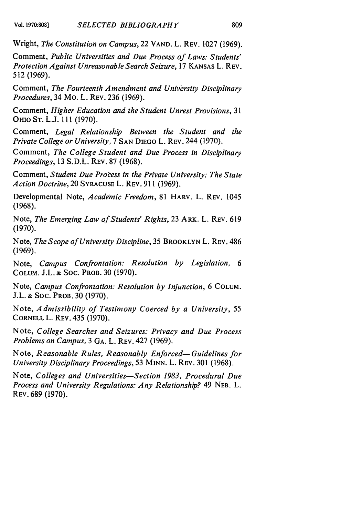Wright, *The Constitution on Campus,* 22 **VAND.** L. **REV.** 1027 (1969).

Comment, *Public Universities and Due Process of Laws: Students' Protection Against Unreasonable Search Seizure,* 17 KANSAS L. REV. 512 (1969).

Comment, *The Fourteenth Amendment and University Disciplinary Procedures,* 34 Mo. L. REv. 236 (1969).

Comment, *Higher Education and the Student Unrest Provisions, 31* **OHIO ST.** L.J. 111 (1970).

Comment, *Legal Relationship Between the Student and the Private College or University,* 7 SAN DIEGO L. REV. 244 (1970).

Comment, *The College Student and Due Process in Disciplinary Proceedings,* 13 S.D.L. REV. 87 (1968).

Comment, *Student Due Process in the Private University: The State Action Doctrine,* 20 **SYRACUSE** L. REV. 911 (1969).

Developmental Note, *Academic Freedom,* 81 HARV. L. REV. 1045 (1968).

Note, *The Emerging Law of Students' Rights,* 23 ARK. L. **REV.** <sup>619</sup> (1970).

Note, *The Scope of University Discipline,* 35 BROOKLYN L. **REV.** 486 (1969).

Note, *Campus Confrontation: Resolution by Legislation, 6* **COLUM.** J.L. **&** Soc. PROB. 30 (1970).

Note, *Campus Confrontation: Resolution by Injunction,* 6 **COLUM.** J.L. **&** Soc. PROB. 30 (1970).

Note, *Admissibility of Testimony Coerced by a University, 55* CORNELL L. REV. 435 (1970).

Note, *College Searches and Seizures: Privacy and Due Process Problems on Campus,* 3 GA. L. REV. 427 (1969).

Note, *Reasonable Rules, Reasonably Enforced- Guidelines for University Disciplinary Proceedings,* 53 **MINN.** L. REV. 301 (1968).

Note, *Colleges and Universities-Section 1983, Procedural Due Process and University Regulations: Any Relationship?* 49 **NEB.** L. REV. 689 (1970).